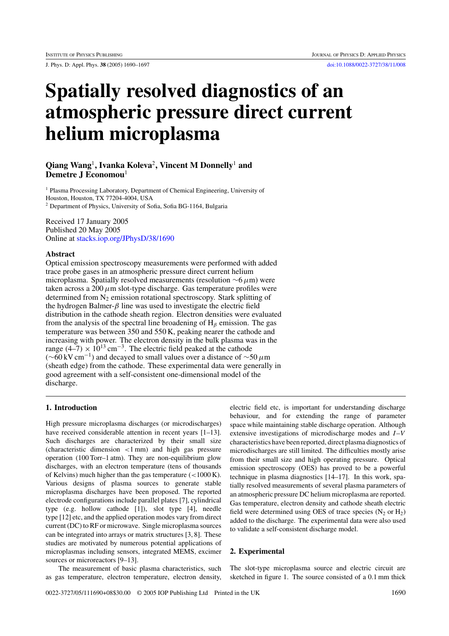J. Phys. D: Appl. Phys. **38** (2005) 1690–1697 [doi:10.1088/0022-3727/38/11/008](http://dx.doi.org/10.1088/0022-3727/38/11/008)

# **Spatially resolved diagnostics of an atmospheric pressure direct current helium microplasma**

# **Qiang Wang**<sup>1</sup>**, Ivanka Koleva**<sup>2</sup>**, Vincent M Donnelly**<sup>1</sup> **and Demetre J Economou**<sup>1</sup>

<sup>1</sup> Plasma Processing Laboratory, Department of Chemical Engineering, University of Houston, Houston, TX 77204-4004, USA <sup>2</sup> Department of Physics, University of Sofia, Sofia BG-1164, Bulgaria

Received 17 January 2005 Published 20 May 2005 Online at [stacks.iop.org/JPhysD/38/1690](http://stacks.iop.org/jd/38/1690)

# **Abstract**

Optical emission spectroscopy measurements were performed with added trace probe gases in an atmospheric pressure direct current helium microplasma. Spatially resolved measurements (resolution ∼6*µ*m) were taken across a  $200 \mu m$  slot-type discharge. Gas temperature profiles were determined from  $N_2$  emission rotational spectroscopy. Stark splitting of the hydrogen Balmer-*β* line was used to investigate the electric field distribution in the cathode sheath region. Electron densities were evaluated from the analysis of the spectral line broadening of H*<sup>β</sup>* emission. The gas temperature was between 350 and 550 K, peaking nearer the cathode and increasing with power. The electron density in the bulk plasma was in the range  $(4–7) \times 10^{13}$  cm<sup>-3</sup>. The electric field peaked at the cathode (∼60 kV cm−1) and decayed to small values over a distance of <sup>∼</sup><sup>50</sup> *<sup>µ</sup>*<sup>m</sup> (sheath edge) from the cathode. These experimental data were generally in good agreement with a self-consistent one-dimensional model of the discharge.

# **1. Introduction**

High pressure microplasma discharges (or microdischarges) have received considerable attention in recent years [1–13]. Such discharges are characterized by their small size (characteristic dimension *<*1 mm) and high gas pressure operation (100 Torr–1 atm). They are non-equilibrium glow discharges, with an electron temperature (tens of thousands of Kelvins) much higher than the gas temperature (*<*1000 K). Various designs of plasma sources to generate stable microplasma discharges have been proposed. The reported electrode configurations include parallel plates [7], cylindrical type (e.g. hollow cathode [1]), slot type [4], needle type [12] etc, and the applied operation modes vary from direct current (DC) to RF or microwave. Single microplasma sources can be integrated into arrays or matrix structures [3, 8]. These studies are motivated by numerous potential applications of microplasmas including sensors, integrated MEMS, excimer sources or microreactors [9–13].

The measurement of basic plasma characteristics, such as gas temperature, electron temperature, electron density,

electric field etc, is important for understanding discharge behaviour, and for extending the range of parameter space while maintaining stable discharge operation. Although extensive investigations of microdischarge modes and *I*–*V* characteristics have been reported, direct plasma diagnostics of microdischarges are still limited. The difficulties mostly arise from their small size and high operating pressure. Optical emission spectroscopy (OES) has proved to be a powerful technique in plasma diagnostics [14–17]. In this work, spatially resolved measurements of several plasma parameters of an atmospheric pressure DC helium microplasma are reported. Gas temperature, electron density and cathode sheath electric field were determined using OES of trace species  $(N_2 \text{ or } H_2)$ added to the discharge. The experimental data were also used to validate a self-consistent discharge model.

# **2. Experimental**

The slot-type microplasma source and electric circuit are sketched in figure 1. The source consisted of a 0.1 mm thick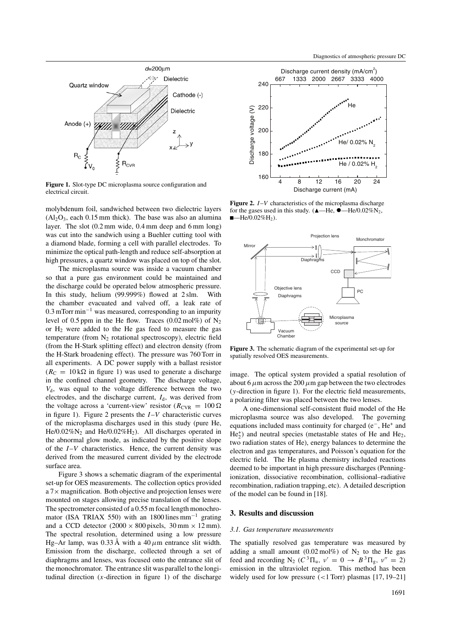

**Figure 1.** Slot-type DC microplasma source configuration and electrical circuit.

molybdenum foil, sandwiched between two dielectric layers  $(Al<sub>2</sub>O<sub>3</sub>$ , each 0.15 mm thick). The base was also an alumina layer. The slot (0.2 mm wide, 0.4 mm deep and 6 mm long) was cut into the sandwich using a Buehler cutting tool with a diamond blade, forming a cell with parallel electrodes. To minimize the optical path-length and reduce self-absorption at high pressures, a quartz window was placed on top of the slot.

The microplasma source was inside a vacuum chamber so that a pure gas environment could be maintained and the discharge could be operated below atmospheric pressure. In this study, helium (99.999%) flowed at 2 slm. With the chamber evacuated and valved off, a leak rate of 0.3 mTorr min−<sup>1</sup> was measured, corresponding to an impurity level of 0.5 ppm in the He flow. Traces  $(0.02 \text{ mol\%})$  of N<sub>2</sub> or  $H_2$  were added to the He gas feed to measure the gas temperature (from  $N_2$  rotational spectroscopy), electric field (from the H-Stark splitting effect) and electron density (from the H-Stark broadening effect). The pressure was 760 Torr in all experiments. A DC power supply with a ballast resistor  $(R_{\rm C} = 10 \,\mathrm{k}\Omega$  in figure 1) was used to generate a discharge in the confined channel geometry. The discharge voltage, *V*d, was equal to the voltage difference between the two electrodes, and the discharge current,  $I_d$ , was derived from the voltage across a 'current-view' resistor ( $R_{\text{CVR}} = 100 \Omega$ ) in figure 1). Figure 2 presents the *I*–*V* characteristic curves of the microplasma discharges used in this study (pure He, He/0.02% $N_2$  and He/0.02% $H_2$ ). All discharges operated in the abnormal glow mode, as indicated by the positive slope of the *I*–*V* characteristics. Hence, the current density was derived from the measured current divided by the electrode surface area.

Figure 3 shows a schematic diagram of the experimental set-up for OES measurements. The collection optics provided  $a$  7 $\times$  magnification. Both objective and projection lenses were mounted on stages allowing precise translation of the lenses. The spectrometer consisted of a 0.55 m focal length monochromator (ISA TRIAX 550) with an 1800 lines mm<sup>-1</sup> grating and a CCD detector  $(2000 \times 800)$  pixels, 30 mm  $\times$  12 mm). The spectral resolution, determined using a low pressure Hg–Ar lamp, was  $0.33 \text{ Å}$  with a  $40 \mu \text{m}$  entrance slit width. Emission from the discharge, collected through a set of diaphragms and lenses, was focused onto the entrance slit of the monochromator. The entrance slit was parallel to the longitudinal direction  $(x$ -direction in figure 1) of the discharge



**Figure 2.** *I*–*V* characteristics of the microplasma discharge for the gases used in this study. ( $\triangle$ —He,  $\triangle$ —He/0.02%N<sub>2</sub>,  $\blacksquare$ He/0.02%H<sub>2</sub>).



**Figure 3.** The schematic diagram of the experimental set-up for spatially resolved OES measurements.

image. The optical system provided a spatial resolution of about 6  $\mu$ m across the 200  $\mu$ m gap between the two electrodes (*y*-direction in figure 1). For the electric field measurements, a polarizing filter was placed between the two lenses.

A one-dimensional self-consistent fluid model of the He microplasma source was also developed. The governing equations included mass continuity for charged (e−, He+ and He<sup>+</sup><sub>2</sub>) and neutral species (metastable states of He and He<sub>2</sub>, two radiation states of He), energy balances to determine the electron and gas temperatures, and Poisson's equation for the electric field. The He plasma chemistry included reactions deemed to be important in high pressure discharges (Penningionization, dissociative recombination, collisional–radiative recombination, radiation trapping, etc). A detailed description of the model can be found in [18].

# **3. Results and discussion**

#### *3.1. Gas temperature measurements*

The spatially resolved gas temperature was measured by adding a small amount (0.02 mol%) of  $N_2$  to the He gas feed and recording  $N_2$  ( $C^3 \Pi_u$ ,  $\nu' = 0 \rightarrow B^3 \Pi_g$ ,  $\nu'' = 2$ ) emission in the ultraviolet region. This method has been widely used for low pressure (*<*1 Torr) plasmas [17, 19–21]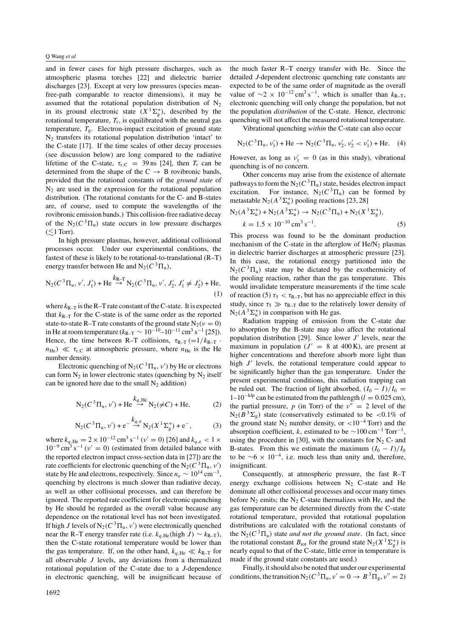and in fewer cases for high pressure discharges, such as atmospheric plasma torches [22] and dielectric barrier discharges [23]. Except at very low pressures (species meanfree-path comparable to reactor dimensions), it may be assumed that the rotational population distribution of  $N_2$ in its ground electronic state  $(X^1\Sigma_g^+)$ , described by the rotational temperature,  $T_r$ , is equilibrated with the neutral gas temperature,  $T_g$ . Electron-impact excitation of ground state  $N_2$  transfers its rotational population distribution 'intact' to the C-state [17]. If the time scales of other decay processes (see discussion below) are long compared to the radiative lifetime of the C-state,  $\tau_{r,C}$  = 39 ns [24], then  $T_r$  can be determined from the shape of the  $C \rightarrow B$  rovibronic bands, provided that the rotational constants of the *ground state* of  $N<sub>2</sub>$  are used in the expression for the rotational population distribution. (The rotational constants for the C- and B-states are, of course, used to compute the wavelengths of the rovibronic emission bands.) This collision-free radiative decay of the  $N_2(C^3\Pi_u)$  state occurs in low pressure discharges  $(\leq 1$  Torr).

In high pressure plasmas, however, additional collisional processes occur. Under our experimental conditions, the fastest of these is likely to be rotational-to-translational (R–T) energy transfer between He and  $N_2(C^3\Pi_u)$ ,

$$
N_2(C^3\Pi_u, \nu', J'_1) + He \stackrel{k_{R-T}}{\rightarrow} N_2(C^3\Pi_u, \nu', J'_2, J'_1 \neq J'_2) + He,
$$
\n(1)

where  $k_{R-T}$  is the R–T rate constant of the C-state. It is expected that  $k_{R-T}$  for the C-state is of the same order as the reported state-to-state R–T rate constants of the ground state  $N_2(v = 0)$ in He at room temperature ( $k_{R-T}$  ∼ 10<sup>-10</sup>–10<sup>-11</sup> cm<sup>3</sup> s<sup>-1</sup> [25]). Hence, the time between R–T collisions,  $\tau_{R-T}$  (=1/k<sub>R–T</sub> ·  $n_{\text{He}}$ )  $\ll \tau_{\text{r.C}}$  at atmospheric pressure, where  $n_{\text{He}}$  is the He number density.

Electronic quenching of  $N_2(C^3\Pi_u, v')$  by He or electrons can form  $N_2$  in lower electronic states (quenching by  $N_2$  itself can be ignored here due to the small  $N_2$  addition)

$$
N_2(C^3\Pi_u, \nu') + He \stackrel{k_{q,He}}{\rightarrow} N_2(\neq C) + He,\tag{2}
$$

$$
N_2(C^3\Pi_u, \nu') + e^{-\frac{k_{q,e}}{\rightarrow}} N_2(X^1\Sigma_g^+) + e^{-},
$$
 (3)

where  $k_{q,He} = 2 \times 10^{-12} \text{ cm}^3 \text{ s}^{-1}$  *(v'* = 0) [26] and  $k_{q,e} < 1 \times$  $10^{-9}$  cm<sup>3</sup> s<sup>-1</sup> ( $v' = 0$ ) (estimated from detailed balance with the reported electron impact cross-section data in [27]) are the rate coefficients for electronic quenching of the  $N_2(C^3\Pi_u, v')$ state by He and electrons, respectively. Since  $n_e \sim 10^{14}$  cm<sup>-3</sup>, quenching by electrons is much slower than radiative decay, as well as other collisional processes, and can therefore be ignored. The reported rate coefficient for electronic quenching by He should be regarded as the overall value because any dependence on the rotational level has not been investigated. If high *J* levels of  $N_2(C^3\Pi_u, v')$  were electronically quenched near the R–T energy transfer rate (i.e.  $k_{q,He}$ (high *J*) ~  $k_{R-T}$ ), then the C-state rotational temperature would be lower than the gas temperature. If, on the other hand,  $k_{a,He} \ll k_{R-T}$  for all observable *J* levels, any deviations from a thermalized rotational population of the C-state due to a *J*-dependence in electronic quenching, will be insignificant because of the much faster R–T energy transfer with He. Since the detailed *J*-dependent electronic quenching rate constants are expected to be of the same order of magnitude as the overall value of  $\sim$ 2 × 10<sup>-12</sup> cm<sup>3</sup> s<sup>-1</sup>, which is smaller than  $k_{R-T}$ , electronic quenching will only change the population, but not the population *distribution* of the C-state. Hence, electronic quenching will not affect the measured rotational temperature.

Vibrational quenching *within* the C-state can also occur

$$
N_2(C^3\Pi_u, \nu'_1) + He \rightarrow N_2(C^3\Pi_u, \nu'_2, \nu'_2 < \nu'_1) + He.
$$
 (4)

However, as long as  $v'_1 = 0$  (as in this study), vibrational quenching is of no concern.

Other concerns may arise from the existence of alternate pathways to form the  $N_2(C^3\Pi_u)$  state, besides electron impact excitation. For instance,  $N_2(C^3\Pi_u)$  can be formed by metastable  $N_2(A^3\Sigma_u^+)$  pooling reactions [23, 28]

$$
N_2(A^3\Sigma_u^+) + N_2(A^3\Sigma_u^+) \to N_2(C^3\Pi_u) + N_2(X^1\Sigma_g^+),
$$
  

$$
k = 1.5 \times 10^{-10} \text{ cm}^3 \text{ s}^{-1}.
$$
 (5)

This process was found to be the dominant production mechanism of the C-state in the afterglow of  $He/N_2$  plasmas in dielectric barrier discharges at atmospheric pressure [23]. In this case, the rotational energy partitioned into the  $N_2(C^3\Pi_u)$  state may be dictated by the exothermicity of the pooling reaction, rather than the gas temperature. This would invalidate temperature measurements if the time scale of reaction (5)  $\tau_5 < \tau_{R-T}$ , but has no appreciable effect in this study, since  $\tau_5 \gg \tau_{R-T}$  due to the relatively lower density of  $N_2(A^3\Sigma_u^+)$  in comparison with He gas.

Radiation trapping of emission from the C-state due to absorption by the B-state may also affect the rotational population distribution [29]. Since lower  $J'$  levels, near the maximum in population  $(J' = 8$  at 400 K), are present at higher concentrations and therefore absorb more light than high  $J'$  levels, the rotational temperature could appear to be significantly higher than the gas temperature. Under the present experimental conditions, this radiation trapping can be ruled out. The fraction of light absorbed,  $(I_0 - I)/I_0 =$ 1–10−klp can be estimated from the pathlength (*<sup>l</sup>* <sup>=</sup> <sup>0</sup>*.*025 cm), the partial pressure, *p* (in Torr) of the  $v'' = 2$  level of the  $N_2(B^3\Sigma_g)$  state (conservatively estimated to be <0.1% of the ground state  $N_2$  number density, or  $\langle 10^{-4} \text{ Torr} \rangle$  and the absorption coefficient, *k*, estimated to be  $\sim$ 100 cm<sup>-1</sup> Torr<sup>-1</sup>, using the procedure in [30], with the constants for  $N_2$  C- and B-states. From this we estimate the maximum  $(I_0 - I)/I_0$ to be  $∼6 \times 10^{-4}$ , i.e. much less than unity and, therefore, insignificant.

Consequently, at atmospheric pressure, the fast R–T energy exchange collisions between  $N_2$  C-state and He dominate all other collisional processes and occur many times before  $N_2$  emits; the  $N_2$  C-state thermalizes with He, and the gas temperature can be determined directly from the C-state rotational temperature, provided that rotational population distributions are calculated with the rotational constants of the  $N_2(C^3\Pi_u)$  state *and not the ground state*. (In fact, since the rotational constant  $B_{\text{rot}}$  for the ground state  $N_2(X^1\Sigma_g^+)$  is nearly equal to that of the C-state, little error in temperature is made if the ground state constants are used.)

Finally, it should also be noted that under our experimental conditions, the transition  $N_2(C^3\Pi_u, v' = 0 \rightarrow B^3\Pi_g, v'' = 2)$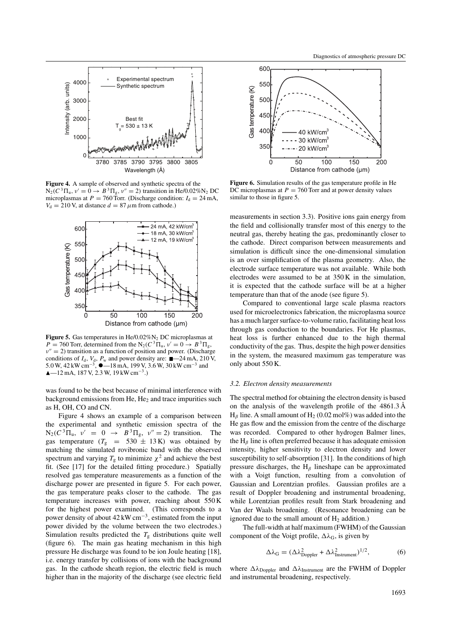

**Figure 4.** A sample of observed and synthetic spectra of the  $N_2$ (C<sup>3</sup>Π<sub>*u</sub>, ν'* = 0 → *B*<sup>3</sup>Π<sub>g</sub>, ν'' = 2) transition in He/0.02%N<sub>2</sub> DC</sub> microplasmas at  $P = 760$  Torr. (Discharge condition:  $I_d = 24$  mA,  $V_d = 210$  V, at distance  $d = 87 \,\mu \text{m}$  from cathode.)



**Figure 5.** Gas temperatures in  $\text{He}/0.02\% \text{N}_2$  DC microplasmas at  $P = 760$  Torr, determined from the N<sub>2</sub>( $C^3\Pi_u$ ,  $v' = 0 \rightarrow B^3\Pi_g$ ,  $v'' = 2$ ) transition as a function of position and power. (Discharge conditions of  $I_d$ ,  $V_d$ ,  $P_w$  and power density are:  $\blacksquare$ —24 mA, 210 V, 5.0 W, 42 kW cm<sup>-3</sup>,  $\bullet$ —18 mA, 199 V, 3.6 W, 30 kW cm<sup>-3</sup> and<br>  $\bullet$ —12 mA +187 V, 2.3 W, 19 kW cm<sup>-3</sup>) —12 mA, 187 V, 2.3 W, 19 kW cm−<sup>3</sup>*.)*

was found to be the best because of minimal interference with background emissions from He,  $He<sub>2</sub>$  and trace impurities such as H, OH, CO and CN.

Figure 4 shows an example of a comparison between the experimental and synthetic emission spectra of the  $N_2(C^3\Pi_u, v' = 0 \rightarrow B^3\Pi_g, v'' = 2)$  transition. The gas temperature  $(T_g = 530 \pm 13 \text{ K})$  was obtained by matching the simulated rovibronic band with the observed spectrum and varying  $T_g$  to minimize  $\chi^2$  and achieve the best fit. (See [17] for the detailed fitting procedure.) Spatially resolved gas temperature measurements as a function of the discharge power are presented in figure 5. For each power, the gas temperature peaks closer to the cathode. The gas temperature increases with power, reaching about 550 K for the highest power examined. (This corresponds to a power density of about 42 kW cm−3, estimated from the input power divided by the volume between the two electrodes.) Simulation results predicted the  $T<sub>g</sub>$  distributions quite well (figure 6). The main gas heating mechanism in this high pressure He discharge was found to be ion Joule heating [18], i.e. energy transfer by collisions of ions with the background gas. In the cathode sheath region, the electric field is much higher than in the majority of the discharge (see electric field



**Figure 6.** Simulation results of the gas temperature profile in He DC microplasmas at  $P = 760$  Torr and at power density values similar to those in figure 5.

measurements in section 3.3). Positive ions gain energy from the field and collisionally transfer most of this energy to the neutral gas, thereby heating the gas, predominantly closer to the cathode. Direct comparison between measurements and simulation is difficult since the one-dimensional simulation is an over simplification of the plasma geometry. Also, the electrode surface temperature was not available. While both electrodes were assumed to be at 350 K in the simulation, it is expected that the cathode surface will be at a higher temperature than that of the anode (see figure 5).

Compared to conventional large scale plasma reactors used for microelectronics fabrication, the microplasma source has a much larger surface-to-volume ratio, facilitating heat loss through gas conduction to the boundaries. For He plasmas, heat loss is further enhanced due to the high thermal conductivity of the gas. Thus, despite the high power densities in the system, the measured maximum gas temperature was only about 550 K.

#### *3.2. Electron density measurements*

The spectral method for obtaining the electron density is based on the analysis of the wavelength profile of the 4861.3 Å  $H_\beta$  line. A small amount of  $H_2$  (0.02 mol%) was added into the He gas flow and the emission from the centre of the discharge was recorded. Compared to other hydrogen Balmer lines, the H*<sup>β</sup>* line is often preferred because it has adequate emission intensity, higher sensitivity to electron density and lower susceptibility to self-absorption [31]. In the conditions of high pressure discharges, the H*<sup>β</sup>* lineshape can be approximated with a Voigt function, resulting from a convolution of Gaussian and Lorentzian profiles. Gaussian profiles are a result of Doppler broadening and instrumental broadening, while Lorentzian profiles result from Stark broadening and Van der Waals broadening. (Resonance broadening can be ignored due to the small amount of  $H<sub>2</sub>$  addition.)

The full-width at half maximum (FWHM) of the Gaussian component of the Voigt profile,  $\Delta \lambda_G$ , is given by

$$
\Delta\lambda_{\rm G} = (\Delta\lambda_{\rm Doppler}^2 + \Delta\lambda_{\rm Instrument}^2)^{1/2},\tag{6}
$$

where  $Δλ$ <sub>Doppler</sub> and  $Δλ$ <sub>Instrument</sub> are the FWHM of Doppler and instrumental broadening, respectively.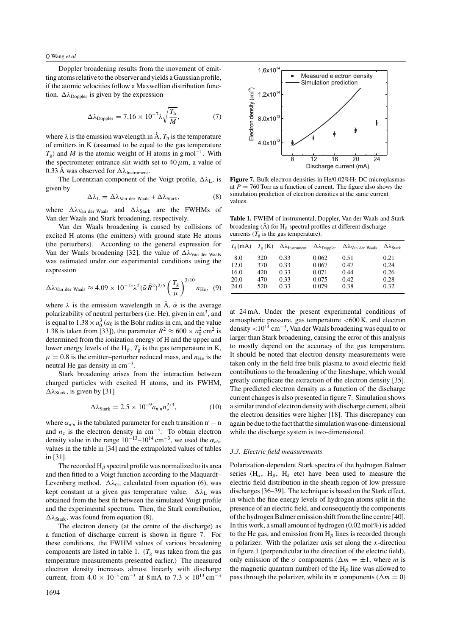Doppler broadening results from the movement of emitting atoms relative to the observer and yields a Gaussian profile, if the atomic velocities follow a Maxwellian distribution function.  $\Delta \lambda_{\text{Doppler}}$  is given by the expression

$$
\Delta\lambda_{\text{Doppler}} = 7.16 \times 10^{-7} \lambda \sqrt{\frac{T_{\text{h}}}{M}},\tag{7}
$$

where  $\lambda$  is the emission wavelength in  $\mathring{A}$ ,  $T_h$  is the temperature of emitters in K (assumed to be equal to the gas temperature  $T_g$ ) and *M* is the atomic weight of H atoms in g mol<sup>-1</sup>. With the spectrometer entrance slit width set to  $40 \mu$ m, a value of 0.33 Å was observed for  $\Delta\lambda$ <sub>Instrument</sub>.

The Lorentzian component of the Voigt profile,  $\Delta \lambda_L$ , is given by

$$
\Delta\lambda_{\rm L} = \Delta\lambda_{\rm Van der Waals} + \Delta\lambda_{\rm Stark},\tag{8}
$$

where  $Δλ_{Van \text{ der Waals}}$  and  $Δλ_{Stark}$  are the FWHMs of Van der Waals and Stark broadening, respectively.

Van der Waals broadening is caused by collisions of excited H atoms (the emitters) with ground state He atoms (the perturbers). According to the general expression for Van der Waals broadening [32], the value of Δλ<sub>Van der Waals</sub> was estimated under our experimental conditions using the expression

$$
\Delta\lambda_{\text{Van der Waals}} \approx 4.09 \times 10^{-13} \lambda^2 (\bar{\alpha} \bar{R}^2)^{2/5} \left(\frac{T_{\text{g}}}{\mu}\right)^{3/10} n_{\text{He}}, \quad (9)
$$

where  $\lambda$  is the emission wavelength in  $\hat{A}$ ,  $\bar{\alpha}$  is the average polarizability of neutral perturbers (i.e. He), given in  $cm<sup>3</sup>$ , and is equal to  $1.38 \times a_0^3$  ( $a_0$  is the Bohr radius in cm, and the value 1.38 is taken from [33]), the parameter  $\bar{R}^2 \approx 600 \times a_0^2$  cm<sup>2</sup> is determined from the ionization energy of H and the upper and lower energy levels of the H<sub>β</sub>,  $T_g$  is the gas temperature in K,  $\mu = 0.8$  is the emitter–perturber reduced mass, and  $n_{\text{He}}$  is the neutral He gas density in cm−3.

Stark broadening arises from the interaction between charged particles with excited H atoms, and its FWHM,  $\Delta\lambda_{\text{Stark}}$ , is given by [31]

$$
\Delta\lambda_{\text{Stark}} = 2.5 \times 10^{-9} a_{n'n} n_e^{2/3},\tag{10}
$$

where  $\alpha_{n'n}$  is the tabulated parameter for each transition  $n'-n$ and  $n_e$  is the electron density in cm<sup>-3</sup>. To obtain electron density value in the range  $10^{-13}$ – $10^{14}$  cm<sup>-3</sup>, we used the  $\alpha_{n'n}$ values in the table in [34] and the extrapolated values of tables in [31].

The recorded  $H_\beta$  spectral profile was normalized to its area and then fitted to a Voigt function according to the Maquardt– Levenberg method.  $\Delta \lambda_G$ , calculated from equation (6), was kept constant at a given gas temperature value. Δλ<sub>L</sub> was obtained from the best fit between the simulated Voigt profile and the experimental spectrum. Then, the Stark contribution, *λ*Stark, was found from equation (8).

The electron density (at the centre of the discharge) as a function of discharge current is shown in figure 7. For these conditions, the FWHM values of various broadening components are listed in table 1.  $(T_{\rm g}$  was taken from the gas temperature measurements presented earlier.) The measured electron density increases almost linearly with discharge current, from  $4.0 \times 10^{13}$  cm<sup>-3</sup> at 8 mA to  $7.3 \times 10^{13}$  cm<sup>-3</sup>



**Figure 7.** Bulk electron densities in He/0.02%H<sub>2</sub> DC microplasmas at  $P = 760$  Torr as a function of current. The figure also shows the simulation prediction of electron densities at the same current values.

**Table 1.** FWHM of instrumental, Doppler, Van der Waals and Stark broadening ( $\AA$ ) for H<sub>*β*</sub> spectral profiles at different discharge currents ( $\overline{T_g}$  is the gas temperature).

| $I_{d}$ (mA) | $T_{\sigma}$ (K) | $\Delta\lambda$ <sub>Instrument</sub> | $\Delta\lambda_{\text{Doppler}}$ | $\Delta\lambda_{\text{Van der Waals}}$ | $\Delta\lambda_{\rm Stark}$ |
|--------------|------------------|---------------------------------------|----------------------------------|----------------------------------------|-----------------------------|
| 8.0          | 320              | 0.33                                  | 0.062                            | 0.51                                   | 0.21                        |
| 12.0         | 370              | 0.33                                  | 0.067                            | 0.47                                   | 0.24                        |
| 16.0         | 420              | 0.33                                  | 0.071                            | 0.44                                   | 0.26                        |
| 20.0         | 470              | 0.33                                  | 0.075                            | 0.42                                   | 0.28                        |
| 24.0         | 520              | 0.33                                  | 0.079                            | 0.38                                   | 0.32                        |

at 24 mA. Under the present experimental conditions of atmospheric pressure, gas temperature *<*600 K, and electron density *<*10<sup>14</sup> cm−3, Van der Waals broadening was equal to or larger than Stark broadening, causing the error of this analysis to mostly depend on the accuracy of the gas temperature. It should be noted that electron density measurements were taken only in the field free bulk plasma to avoid electric field contributions to the broadening of the lineshape, which would greatly complicate the extraction of the electron density [35]. The predicted electron density as a function of the discharge current changes is also presented in figure 7. Simulation shows a similar trend of electron density with discharge current, albeit the electron densities were higher [18]. This discrepancy can again be due to the fact that the simulation was one-dimensional while the discharge system is two-dimensional.

#### *3.3. Electric field measurements*

Polarization-dependent Stark spectra of the hydrogen Balmer series (H<sub>α</sub>, H<sub>β</sub>, H<sub>δ</sub> etc) have been used to measure the electric field distribution in the sheath region of low pressure discharges [36–39]. The technique is based on the Stark effect, in which the fine energy levels of hydrogen atoms split in the presence of an electric field, and consequently the components of the hydrogen Balmer emission shift from the line centre [40]. In this work, a small amount of hydrogen (0.02 mol%) is added to the He gas, and emission from H*<sup>β</sup>* lines is recorded through a polarizer. With the polarizer axis set along the *x*-direction in figure 1 (perpendicular to the direction of the electric field), only emission of the  $\sigma$  components ( $\Delta m = \pm 1$ , where *m* is the magnetic quantum number) of the  $H_\beta$  line was allowed to pass through the polarizer, while its  $\pi$  components ( $\Delta m = 0$ )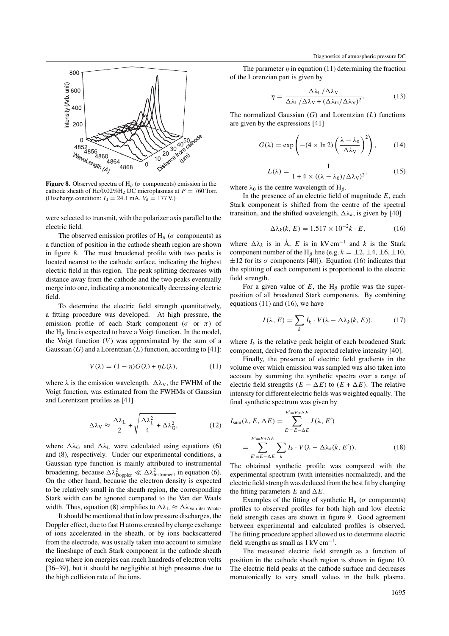

**Figure 8.** Observed spectra of H<sub>*β*</sub> ( $\sigma$  components) emission in the cathode sheath of He/0.02%H<sub>2</sub> DC microplasmas at  $P = 760$  Torr. (Discharge condition:  $I_d = 24.1$  mA,  $V_d = 177$  V.)

were selected to transmit, with the polarizer axis parallel to the electric field.

The observed emission profiles of H<sub>*β*</sub> ( $\sigma$  components) as a function of position in the cathode sheath region are shown in figure 8. The most broadened profile with two peaks is located nearest to the cathode surface, indicating the highest electric field in this region. The peak splitting decreases with distance away from the cathode and the two peaks eventually merge into one, indicating a monotonically decreasing electric field.

To determine the electric field strength quantitatively, a fitting procedure was developed. At high pressure, the emission profile of each Stark component ( $\sigma$  or  $\pi$ ) of the H*<sup>β</sup>* line is expected to have a Voigt function. In the model, the Voigt function  $(V)$  was approximated by the sum of a Gaussian (*G*) and a Lorentzian (*L*) function, according to [41]:

$$
V(\lambda) = (1 - \eta)G(\lambda) + \eta L(\lambda), \qquad (11)
$$

where  $\lambda$  is the emission wavelength.  $\Delta \lambda$ <sub>V</sub>, the FWHM of the Voigt function, was estimated from the FWHMs of Gaussian and Lorentzain profiles as [41]

$$
\Delta\lambda_{\rm V} \approx \frac{\Delta\lambda_{\rm L}}{2} + \sqrt{\frac{\Delta\lambda_{\rm L}^2}{4} + \Delta\lambda_{\rm G}^2},\tag{12}
$$

where  $\Delta\lambda_G$  and  $\Delta\lambda_L$  were calculated using equations (6) and (8), respectively. Under our experimental conditions, a Gaussian type function is mainly attributed to instrumental broadening, because  $\Delta \lambda_{\text{Doppler}}^2 \ll \Delta \lambda_{\text{Instrument}}^2$  in equation (6). On the other hand, because the electron density is expected to be relatively small in the sheath region, the corresponding Stark width can be ignored compared to the Van der Waals width. Thus, equation (8) simplifies to  $\Delta\lambda_L \approx \Delta\lambda_{\text{Van der Waals}}$ .

It should be mentioned that in low pressure discharges, the Doppler effect, due to fast H atoms created by charge exchange of ions accelerated in the sheath, or by ions backscattered from the electrode, was usually taken into account to simulate the lineshape of each Stark component in the cathode sheath region where ion energies can reach hundreds of electron volts [36–39], but it should be negligible at high pressures due to the high collision rate of the ions.

The parameter  $\eta$  in equation (11) determining the fraction of the Lorenzian part is given by

$$
\eta = \frac{\Delta\lambda_L/\Delta\lambda_V}{\Delta\lambda_L/\Delta\lambda_V + (\Delta\lambda_G/\Delta\lambda_V)^2}.
$$
 (13)

The normalized Gaussian *(G)* and Lorentzian *(L)* functions are given by the expressions [41]

$$
G(\lambda) = \exp\left(-(4 \times \ln 2) \left(\frac{\lambda - \lambda_0}{\Delta \lambda_V}\right)^2\right),\tag{14}
$$

$$
L(\lambda) = \frac{1}{1 + 4 \times ((\lambda - \lambda_0)/\Delta\lambda_V)^2},
$$
 (15)

where  $\lambda_0$  is the centre wavelength of H<sub>*β*</sub>.

In the presence of an electric field of magnitude *E*, each Stark component is shifted from the centre of the spectral transition, and the shifted wavelength,  $\Delta \lambda_k$ , is given by [40]

$$
\Delta \lambda_k(k, E) = 1.517 \times 10^{-2} k \cdot E, \qquad (16)
$$

where  $\Delta \lambda_k$  is in  $\mathring{A}$ , *E* is in kV cm<sup>-1</sup> and *k* is the Stark component number of the H<sub>*β*</sub> line (e.g.  $k = \pm 2, \pm 4, \pm 6, \pm 10,$  $\pm 12$  for its  $\sigma$  components [40]). Equation (16) indicates that the splitting of each component is proportional to the electric field strength.

For a given value of  $E$ , the H<sub>*β*</sub> profile was the superposition of all broadened Stark components. By combining equations (11) and (16), we have

$$
I(\lambda, E) = \sum_{k} I_k \cdot V(\lambda - \Delta \lambda_k(k, E)), \tag{17}
$$

where  $I_k$  is the relative peak height of each broadened Stark component, derived from the reported relative intensity [40].

Finally, the presence of electric field gradients in the volume over which emission was sampled was also taken into account by summing the synthetic spectra over a range of electric field strengths  $(E - \Delta E)$  to  $(E + \Delta E)$ . The relative intensity for different electric fields was weighted equally. The final synthetic spectrum was given by

$$
I_{\text{sum}}(\lambda, E, \Delta E) = \sum_{E'=E-\Delta E}^{E'=E+\Delta E} I(\lambda, E')
$$
  
= 
$$
\sum_{E'=E-\Delta E}^{E'=E+\Delta E} \sum_{k} I_k \cdot V(\lambda - \Delta \lambda_k(k, E')).
$$
 (18)

The obtained synthetic profile was compared with the experimental spectrum (with intensities normalized), and the electric field strength was deduced from the best fit by changing the fitting parameters  $E$  and  $\Delta E$ .

Examples of the fitting of synthetic H<sub>*β*</sub> ( $\sigma$  components) profiles to observed profiles for both high and low electric field strength cases are shown in figure 9. Good agreement between experimental and calculated profiles is observed. The fitting procedure applied allowed us to determine electric field strengths as small as  $1 \,\mathrm{kV} \,\mathrm{cm}^{-1}$ .

The measured electric field strength as a function of position in the cathode sheath region is shown in figure 10. The electric field peaks at the cathode surface and decreases monotonically to very small values in the bulk plasma.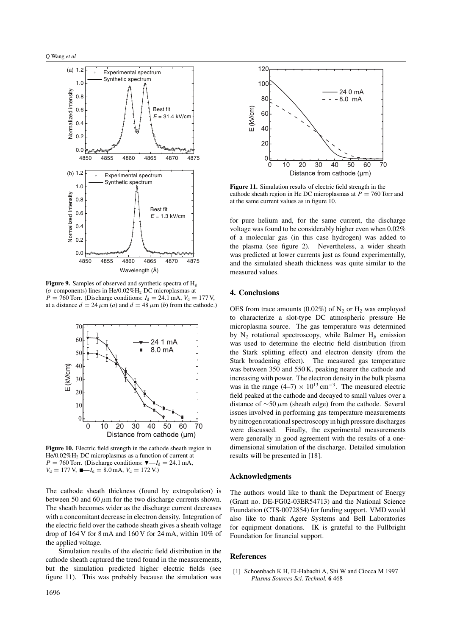

**Figure 9.** Samples of observed and synthetic spectra of H*<sup>β</sup>* ( $\sigma$  components) lines in He/0.02%H<sub>2</sub> DC microplasmas at  $P = 760$  Torr. (Discharge conditions:  $I_d = 24.1$  mA,  $V_d = 177$  V, at a distance  $d = 24 \mu m$  (*a*) and  $d = 48 \mu m$  (*b*) from the cathode.)



**Figure 10.** Electric field strength in the cathode sheath region in He/0.02%H<sub>2</sub> DC microplasmas as a function of current at  $P = 760$  Torr. (Discharge conditions:  $\nabla - I_d = 24.1$  mA,  $V_d = 177$  V,  $\blacksquare - I_d = 8.0$  mA,  $V_d = 172$  V.)

The cathode sheath thickness (found by extrapolation) is between 50 and 60  $\mu$ m for the two discharge currents shown. The sheath becomes wider as the discharge current decreases with a concomitant decrease in electron density. Integration of the electric field over the cathode sheath gives a sheath voltage drop of 164 V for 8 mA and 160 V for 24 mA, within 10% of the applied voltage.

Simulation results of the electric field distribution in the cathode sheath captured the trend found in the measurements, but the simulation predicted higher electric fields (see figure 11). This was probably because the simulation was



**Figure 11.** Simulation results of electric field strength in the cathode sheath region in He DC microplasmas at  $P = 760$  Torr and at the same current values as in figure 10.

for pure helium and, for the same current, the discharge voltage was found to be considerably higher even when 0.02% of a molecular gas (in this case hydrogen) was added to the plasma (see figure 2). Nevertheless, a wider sheath was predicted at lower currents just as found experimentally, and the simulated sheath thickness was quite similar to the measured values.

# **4. Conclusions**

OES from trace amounts (0.02%) of  $N_2$  or  $H_2$  was employed to characterize a slot-type DC atmospheric pressure He microplasma source. The gas temperature was determined by N2 rotational spectroscopy, while Balmer H*<sup>β</sup>* emission was used to determine the electric field distribution (from the Stark splitting effect) and electron density (from the Stark broadening effect). The measured gas temperature was between 350 and 550 K, peaking nearer the cathode and increasing with power. The electron density in the bulk plasma was in the range  $(4–7) \times 10^{13}$  cm<sup>-3</sup>. The measured electric field peaked at the cathode and decayed to small values over a distance of ∼50 *µ*m (sheath edge) from the cathode. Several issues involved in performing gas temperature measurements by nitrogen rotational spectroscopy in high pressure discharges were discussed. Finally, the experimental measurements were generally in good agreement with the results of a onedimensional simulation of the discharge. Detailed simulation results will be presented in [18].

### **Acknowledgments**

The authors would like to thank the Department of Energy (Grant no. DE-FG02-03ER54713) and the National Science Foundation (CTS-0072854) for funding support. VMD would also like to thank Agere Systems and Bell Laboratories for equipment donations. IK is grateful to the Fullbright Foundation for financial support.

#### **References**

[1] Schoenbach K H, El-Habachi A, Shi W and Ciocca M 1997 *Plasma Sources Sci. Technol.* **6** 468